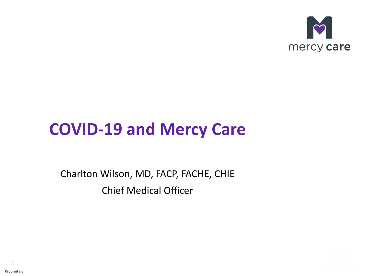

### **COVID-19 and Mercy Care**

Charlton Wilson, MD, FACP, FACHE, CHIE Chief Medical Officer

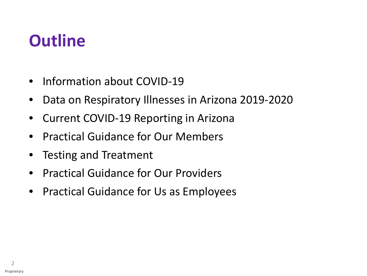### **Outline**

- Information about COVID-19
- Data on Respiratory Illnesses in Arizona 2019-2020
- Current COVID-19 Reporting in Arizona
- Practical Guidance for Our Members
- Testing and Treatment
- Practical Guidance for Our Providers
- Practical Guidance for Us as Employees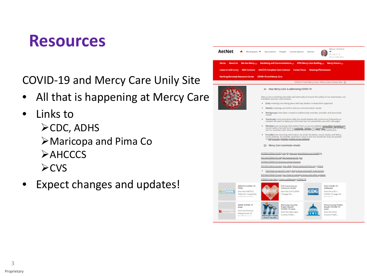### **Resources**

COVID-19 and Mercy Care Unily Site

- All that is happening at Mercy Care
- Links to  $\triangleright$ CDC, ADHS Maricopa and Pima Co  $\triangleright$  AHCCCS  $\triangleright$  CVS
- Expect changes and updates!

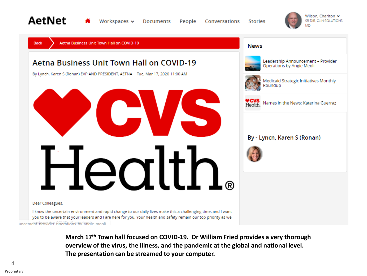





**March 17th Town hall focused on COVID-19. Dr William Fried provides a very thorough overview of the virus, the illness, and the pandemic at the global and national level. The presentation can be streamed to your computer.**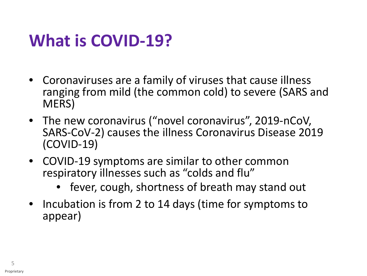### **What is COVID-19?**

- Coronaviruses are a family of viruses that cause illness ranging from mild (the common cold) to severe (SARS and MERS)
- The new coronavirus ("novel coronavirus", 2019-nCoV, SARS-CoV-2) causes the illness Coronavirus Disease 2019 (COVID-19)
- COVID-19 symptoms are similar to other common respiratory illnesses such as "colds and flu"
	- fever, cough, shortness of breath may stand out
- Incubation is from 2 to 14 days (time for symptoms to appear)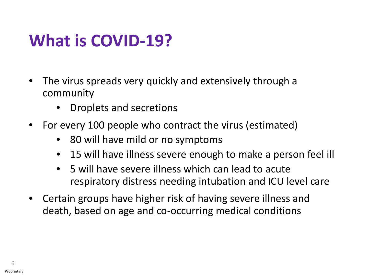### **What is COVID-19?**

- The virus spreads very quickly and extensively through a community
	- Droplets and secretions
- For every 100 people who contract the virus (estimated)
	- 80 will have mild or no symptoms
	- 15 will have illness severe enough to make a person feel ill
	- 5 will have severe illness which can lead to acute respiratory distress needing intubation and ICU level care
- Certain groups have higher risk of having severe illness and death, based on age and co-occurring medical conditions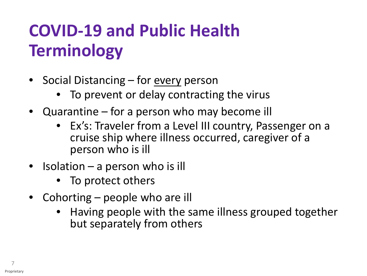## **COVID-19 and Public Health Terminology**

- Social Distancing for <u>every</u> person
	- To prevent or delay contracting the virus
- Quarantine for a person who may become ill
	- Ex's: Traveler from a Level III country, Passenger on a cruise ship where illness occurred, caregiver of a person who is ill
- **Isolation a person who is ill** 
	- To protect others
- Cohorting people who are ill
	- Having people with the same illness grouped together but separately from others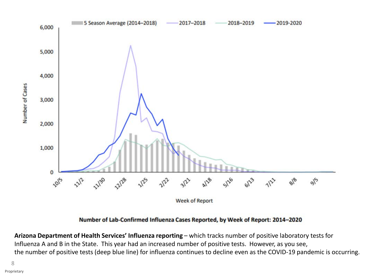

Number of Lab-Confirmed Influenza Cases Reported, by Week of Report: 2014-2020

**Arizona Department of Health Services' Influenza reporting** – which tracks number of positive laboratory tests for Influenza A and B in the State. This year had an increased number of positive tests. However, as you see, the number of positive tests (deep blue line) for influenza continues to decline even as the COVID-19 pandemic is occurring.

8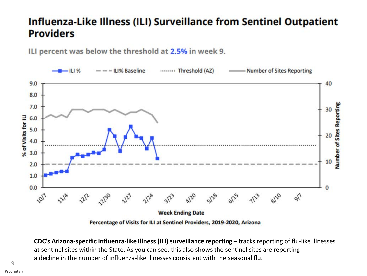### Influenza-Like Illness (ILI) Surveillance from Sentinel Outpatient **Providers**

ILI percent was below the threshold at 2.5% in week 9.



Percentage of Visits for ILI at Sentinel Providers, 2019-2020, Arizona

**CDC's Arizona-specific Influenza-like Illness (ILI) surveillance reporting** – tracks reporting of flu-like illnesses at sentinel sites within the State. As you can see, this also shows the sentinel sites are reporting a decline in the number of influenza-like illnesses consistent with the seasonal flu.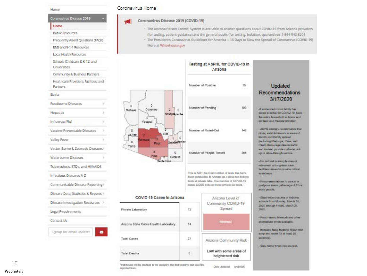| Coronavirus Disease 2019                                 |  |
|----------------------------------------------------------|--|
| Home                                                     |  |
| <b>Public Resources</b>                                  |  |
| Frequently Asked Questions (FAC)s)                       |  |
| EMS and 9-1-1 Resources                                  |  |
| Local Health Resources                                   |  |
| Schools (Childcare & K-12) and<br>Universities           |  |
| Community & Business Partners                            |  |
| Healthcare Providers, Facilities, and<br><b>Partners</b> |  |
| Ebola                                                    |  |
| X<br>Foodborne Diseases                                  |  |
| Hepatitis<br>r                                           |  |
| Influenza (Flu)<br>×                                     |  |
| Vaccine-Preventable Diseases<br>×                        |  |
| Valley Fever<br>y                                        |  |
| Vector-Bonne & Zoonotic Diseases>                        |  |
| Waterborne Diseases<br>Þ                                 |  |
| Tuberculosis, STDs, and HIV/AIDS                         |  |
| Infectious Diseases A-Z                                  |  |
| Communicable Disease Reporting>                          |  |
| Disease Data, Statistics & Reports >                     |  |
| Disease Investigation Resources                          |  |
| Legal Requirements                                       |  |
| Contact Us                                               |  |
| Signup for email updates                                 |  |

### Coronavirus Home

### Coronavirus Disease 2019 (COVID-19)

- The Artzona Poison Control System is available to answer questions about COVID-19 from Arizona providers (for testing, patient guidance) and the general public (for testing, isolation, quarantine): 1-844-542-8201

+ The President's Coronavirus Guidelines for America - 15 Days to Slow the Spread of Coronavirus (COVID-19) More at Whitehouse.gov

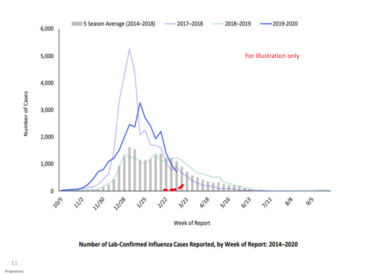

Number of Lab-Confirmed Influenza Cases Reported, by Week of Report: 2014-2020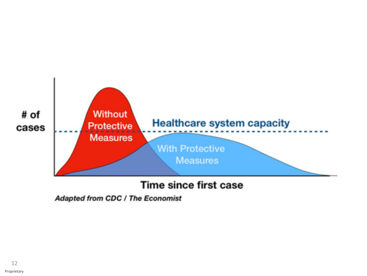

### Time since first case

Adapted from CDC / The Economist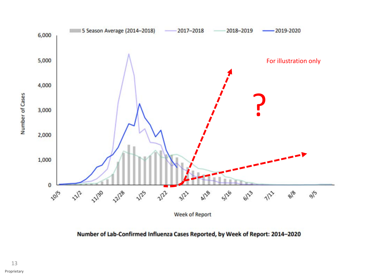

Number of Lab-Confirmed Influenza Cases Reported, by Week of Report: 2014-2020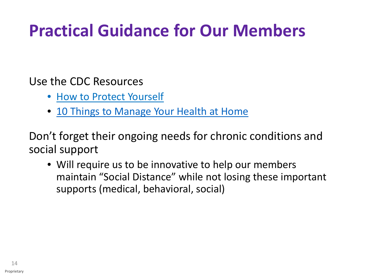### **Practical Guidance for Our Members**

Use the CDC Resources

- [How to Protect Yourself](https://www.cdc.gov/coronavirus/2019-ncov/prepare/prevention.html)
- [10 Things to Manage Your Health at Home](https://www.cdc.gov/coronavirus/2019-ncov/if-you-are-sick/caring-for-yourself-at-home.html)

Don't forget their ongoing needs for chronic conditions and social support

• Will require us to be innovative to help our members maintain "Social Distance" while not losing these important supports (medical, behavioral, social)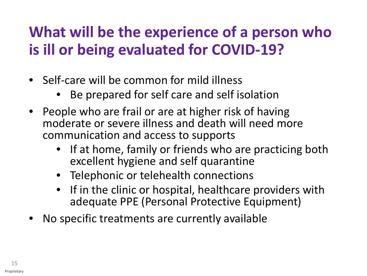### **What will be the experience of a person who is ill or being evaluated for COVID-19?**

- Self-care will be common for mild illness
	- Be prepared for self care and self isolation
- People who are frail or are at higher risk of having moderate or severe illness and death will need more communication and access to supports
	- If at home, family or friends who are practicing both excellent hygiene and self quarantine
	- Telephonic or telehealth connections
	- If in the clinic or hospital, healthcare providers with adequate PPE (Personal Protective Equipment)
- No specific treatments are currently available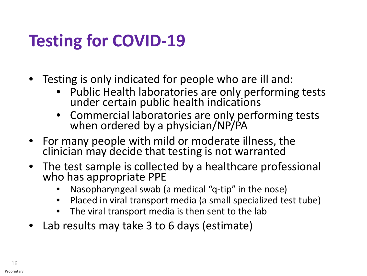## **Testing for COVID-19**

- Testing is only indicated for people who are ill and:
	- Public Health laboratories are only performing tests under certain public health indications
	- Commercial laboratories are only performing tests when ordered by a physician/NP/PA
- For many people with mild or moderate illness, the clinician may decide that testing is not warranted
- The test sample is collected by a healthcare professional who has appropriate PPE
	- Nasopharyngeal swab (a medical "q-tip" in the nose)
	- Placed in viral transport media (a small specialized test tube)
	- The viral transport media is then sent to the lab
- Lab results may take 3 to 6 days (estimate)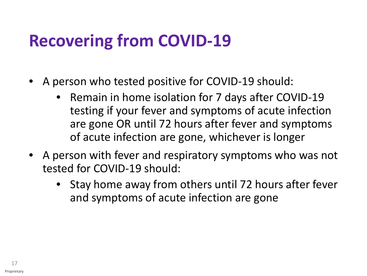### **Recovering from COVID-19**

- A person who tested positive for COVID-19 should:
	- Remain in home isolation for 7 days after COVID-19 testing if your fever and symptoms of acute infection are gone OR until 72 hours after fever and symptoms of acute infection are gone, whichever is longer
- A person with fever and respiratory symptoms who was not tested for COVID-19 should:
	- Stay home away from others until 72 hours after fever and symptoms of acute infection are gone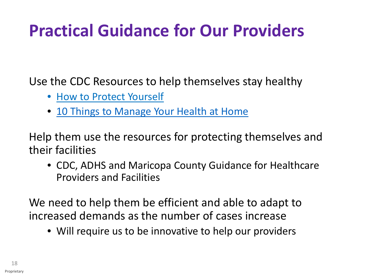## **Practical Guidance for Our Providers**

Use the CDC Resources to help themselves stay healthy

- [How to Protect Yourself](https://www.cdc.gov/coronavirus/2019-ncov/prepare/prevention.html)
- [10 Things to Manage Your Health at Home](https://www.cdc.gov/coronavirus/2019-ncov/if-you-are-sick/caring-for-yourself-at-home.html)

Help them use the resources for protecting themselves and their facilities

• CDC, ADHS and Maricopa County Guidance for Healthcare Providers and Facilities

We need to help them be efficient and able to adapt to increased demands as the number of cases increase

• Will require us to be innovative to help our providers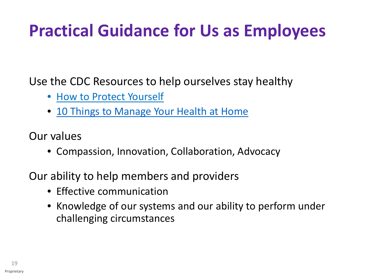### **Practical Guidance for Us as Employees**

Use the CDC Resources to help ourselves stay healthy

- [How to Protect Yourself](https://www.cdc.gov/coronavirus/2019-ncov/prepare/prevention.html)
- [10 Things to Manage Your Health at Home](https://www.cdc.gov/coronavirus/2019-ncov/if-you-are-sick/caring-for-yourself-at-home.html)

Our values

• Compassion, Innovation, Collaboration, Advocacy

Our ability to help members and providers

- Effective communication
- Knowledge of our systems and our ability to perform under challenging circumstances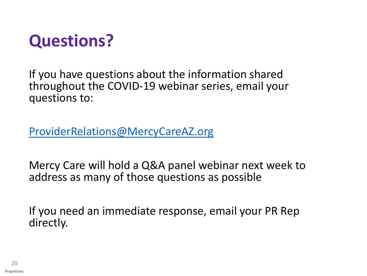

If you have questions about the information shared throughout the COVID-19 webinar series, email your questions to:

[ProviderRelations@MercyCareAZ.org](mailto:ProviderRelations@MercyCareAZ.org)

Mercy Care will hold a Q&A panel webinar next week to address as many of those questions as possible

If you need an immediate response, email your PR Rep directly.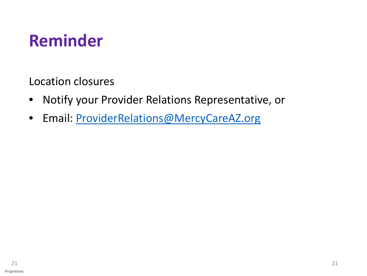

Location closures

- Notify your Provider Relations Representative, or
- Email: [ProviderRelations@MercyCareAZ.org](mailto:ProviderRelations@MercyCareAZ.org)